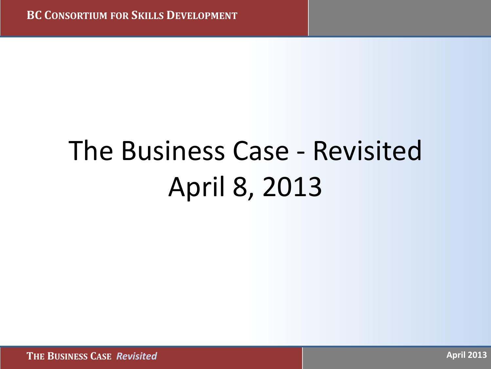# The Business Case - Revisited April 8, 2013

 **THE BUSINESS CASE** *Revisited* **April 2013**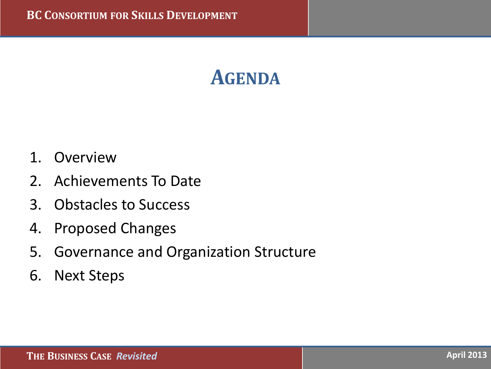#### **AGENDA**

- 1. Overview
- 2. Achievements To Date
- 3. Obstacles to Success
- 4. Proposed Changes
- 5. Governance and Organization Structure
- 6. Next Steps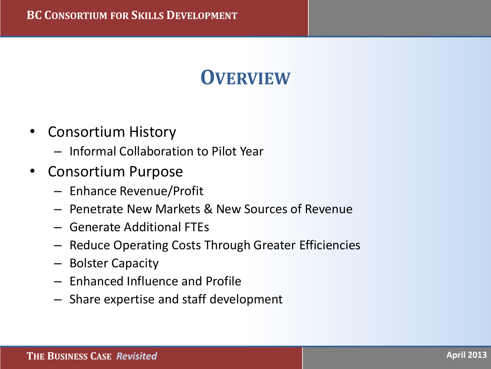#### **OVERVIEW**

- Consortium History
	- Informal Collaboration to Pilot Year
- Consortium Purpose
	- Enhance Revenue/Profit
	- Penetrate New Markets & New Sources of Revenue
	- Generate Additional FTEs
	- Reduce Operating Costs Through Greater Efficiencies
	- Bolster Capacity
	- Enhanced Influence and Profile
	- Share expertise and staff development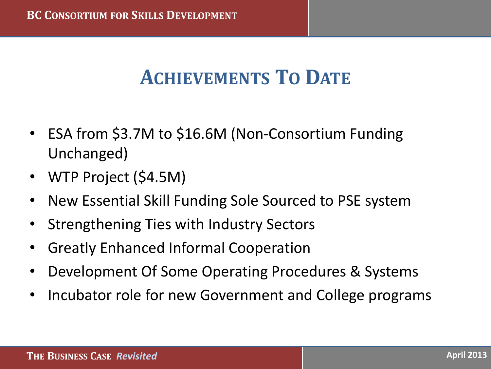#### **ACHIEVEMENTS TO DATE**

- ESA from \$3.7M to \$16.6M (Non-Consortium Funding Unchanged)
- WTP Project (\$4.5M)
- New Essential Skill Funding Sole Sourced to PSE system
- Strengthening Ties with Industry Sectors
- Greatly Enhanced Informal Cooperation
- Development Of Some Operating Procedures & Systems
- Incubator role for new Government and College programs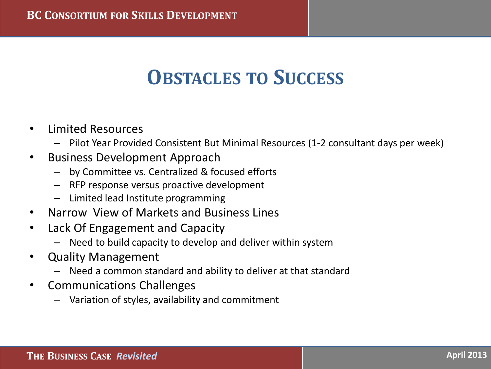#### **OBSTACLES TO SUCCESS**

- Limited Resources
	- Pilot Year Provided Consistent But Minimal Resources (1-2 consultant days per week)
- Business Development Approach
	- by Committee vs. Centralized & focused efforts
	- RFP response versus proactive development
	- Limited lead Institute programming
- Narrow View of Markets and Business Lines
- Lack Of Engagement and Capacity
	- Need to build capacity to develop and deliver within system
- Quality Management
	- Need a common standard and ability to deliver at that standard
- Communications Challenges
	- Variation of styles, availability and commitment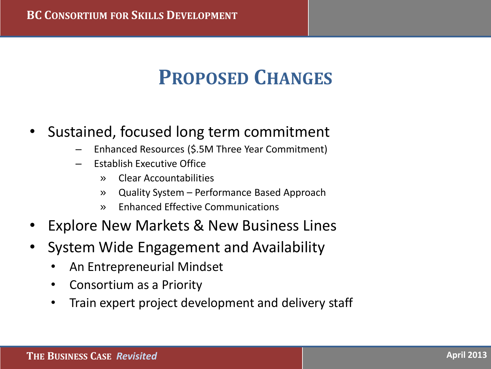### **PROPOSED CHANGES**

- Sustained, focused long term commitment
	- Enhanced Resources (\$.5M Three Year Commitment)
	- Establish Executive Office
		- » Clear Accountabilities
		- » Quality System Performance Based Approach
		- » Enhanced Effective Communications
- **Explore New Markets & New Business Lines**
- System Wide Engagement and Availability
	- An Entrepreneurial Mindset
	- Consortium as a Priority
	- Train expert project development and delivery staff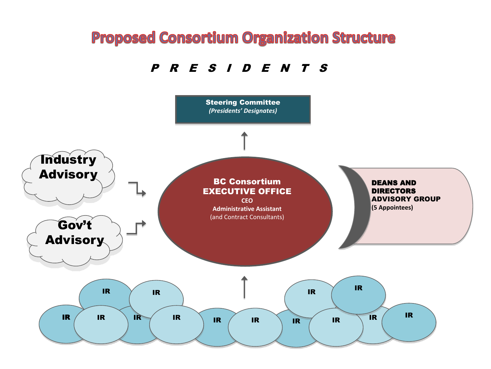#### **Proposed Consortium Organization Structure**

P R E S I D E N T S

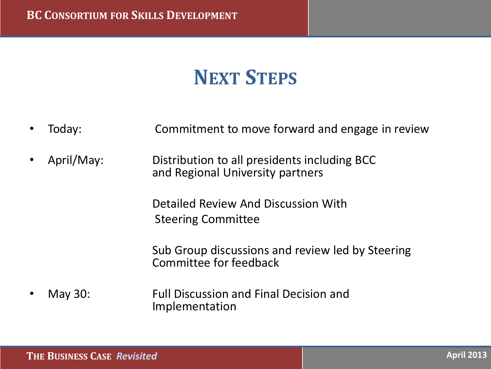## **NEXT STEPS**

Today: Commitment to move forward and engage in review • April/May: Distribution to all presidents including BCC and Regional University partners Detailed Review And Discussion With Steering Committee Sub Group discussions and review led by Steering Committee for feedback • May 30: Full Discussion and Final Decision and Implementation